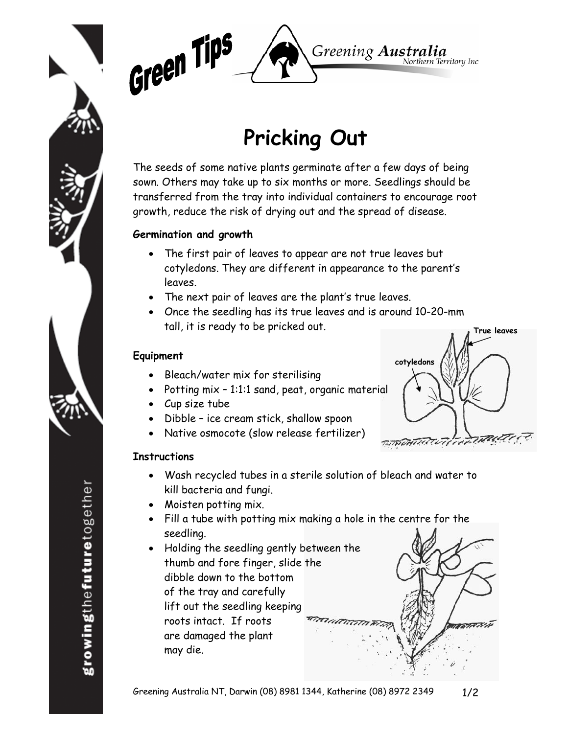



## **Pricking Out**

The seeds of some native plants germinate after a few days of being sown. Others may take up to six months or more. Seedlings should be transferred from the tray into individual containers to encourage root growth, reduce the risk of drying out and the spread of disease.

## **Germination and growth**

- The first pair of leaves to appear are not true leaves but cotyledons. They are different in appearance to the parent's leaves.
- The next pair of leaves are the plant's true leaves.
- Once the seedling has its true leaves and is around 10-20-mm tall, it is ready to be pricked out.

## **Equipment**

- Bleach/water mix for sterilising
- Potting mix 1:1:1 sand, peat, organic material
- Cup size tube
- Dibble ice cream stick, shallow spoon
- Native osmocote (slow release fertilizer)



- Wash recycled tubes in a sterile solution of bleach and water to kill bacteria and fungi.
- Moisten potting mix.
- Fill a tube with potting mix making a hole in the centre for the seedling.
- Holding the seedling gently between the thumb and fore finger, slide the dibble down to the bottom of the tray and carefully lift out the seedling keeping roots intact. If roots are damaged the plant may die.

**cotyledons True leaves**